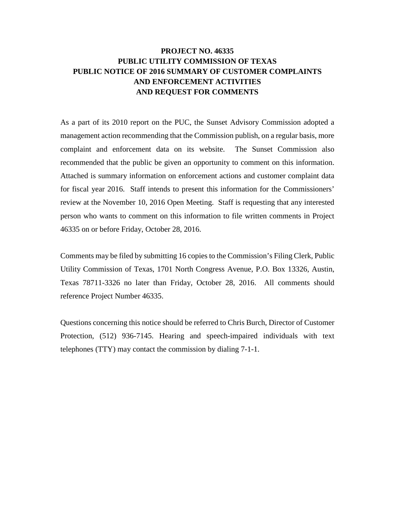#### **PROJECT NO. 46335 PUBLIC UTILITY COMMISSION OF TEXAS PUBLIC NOTICE OF 2016 SUMMARY OF CUSTOMER COMPLAINTS AND ENFORCEMENT ACTIVITIES AND REQUEST FOR COMMENTS**

 review at the November 10, 2016 Open Meeting. Staff is requesting that any interested person who wants to comment on this information to file written comments in Project 46335 on or before Friday, October 28, 2016. As a part of its 2010 report on the PUC, the Sunset Advisory Commission adopted a management action recommending that the Commission publish, on a regular basis, more complaint and enforcement data on its website. The Sunset Commission also recommended that the public be given an opportunity to comment on this information. Attached is summary information on enforcement actions and customer complaint data for fiscal year 2016. Staff intends to present this information for the Commissioners'

Comments may be filed by submitting 16 copies to the Commission's Filing Clerk, Public Utility Commission of Texas, 1701 North Congress Avenue, P.O. Box 13326, Austin, Texas 78711-3326 no later than Friday, October 28, 2016. All comments should reference Project Number 46335.

Questions concerning this notice should be referred to Chris Burch, Director of Customer Protection, (512) 936-7145. Hearing and speech-impaired individuals with text telephones (TTY) may contact the commission by dialing 7-1-1.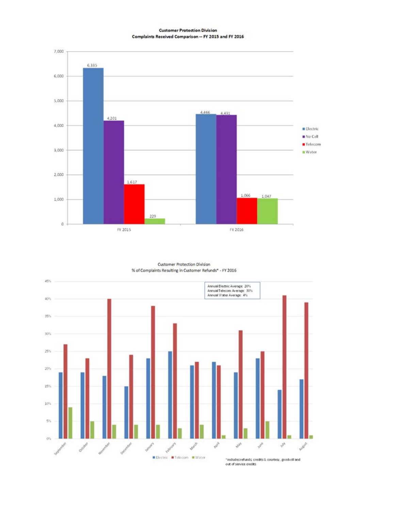**Customer Protection Division** Complaints Received Comparison -- FY 2015 and FY 2016



Customer Protection Division % of Complaints Resulting in Customer Refunds\* - FY 2016

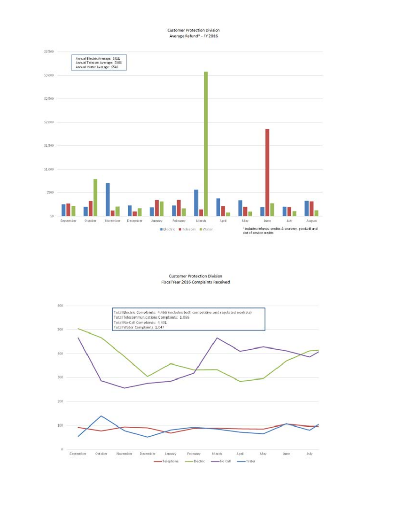Customer Protection Division Average Refund\* - FY 2016



Customer Protection Division Fiscal Year 2016 Complaints Received

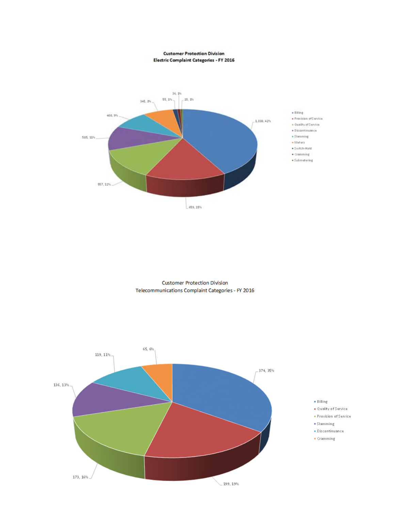**Customer Protection Division** Electric Complaint Categories - FY 2016



**Customer Protection Division** Telecommunications Complaint Categories - FY 2016

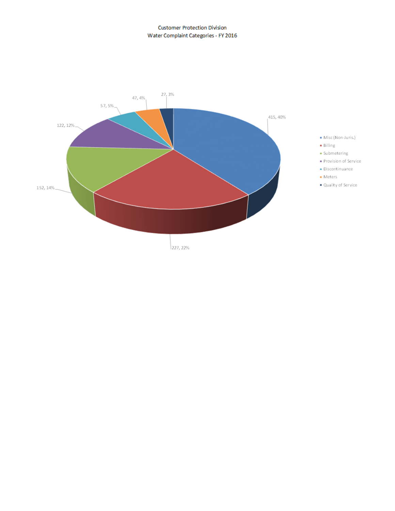#### **Customer Protection Division** Water Complaint Categories - FY 2016

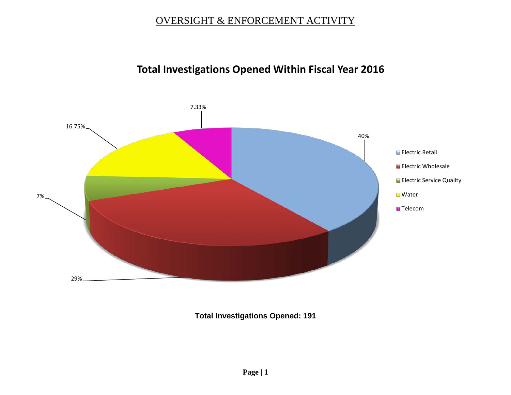# **Total Investigations Opened Within Fiscal Year 2016**



**Total Investigations Opened: 191**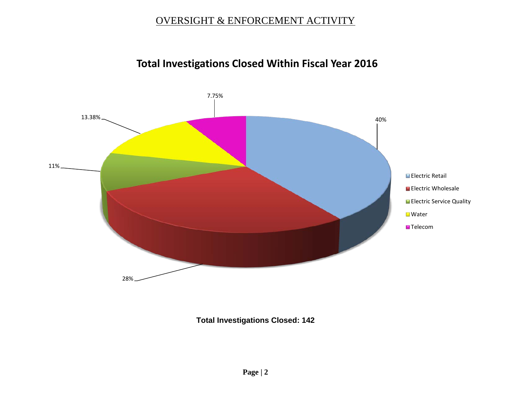# **Total Investigations Closed Within Fiscal Year 2016**



**Total Investigations Closed: 142**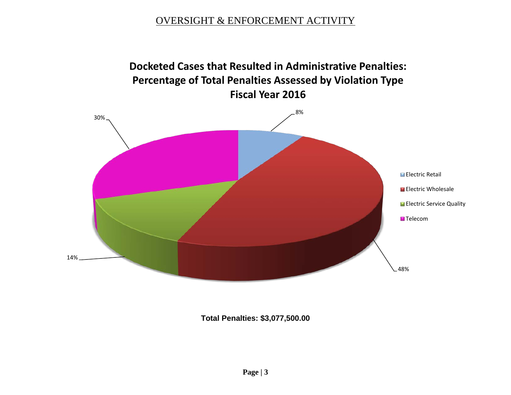

**Total Penalties: \$3,077,500.00**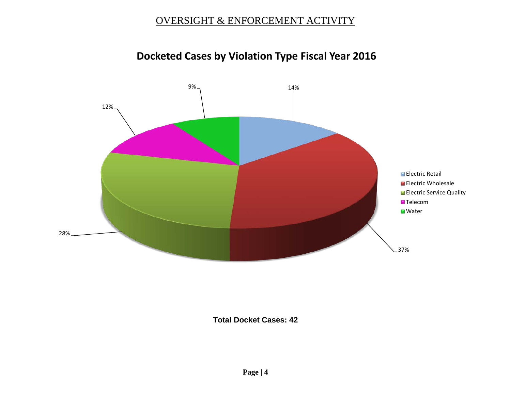

# **Docketed Cases by Violation Type Fiscal Year 2016**

#### **Total Docket Cases: 42**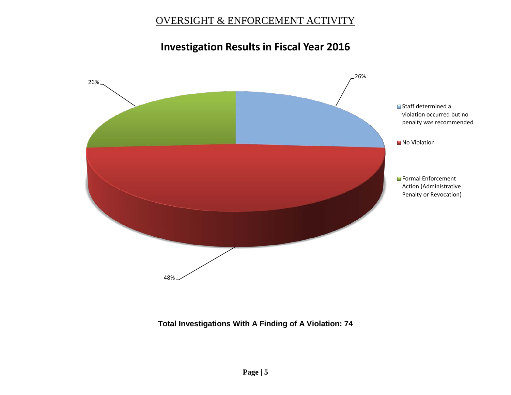# **Investigation Results in Fiscal Year 2016**



#### **Total Investigations With A Finding of A Violation: 74**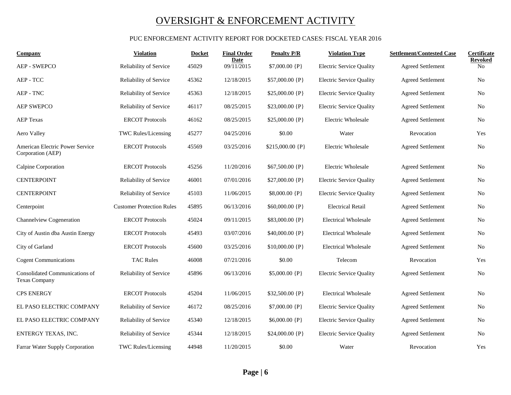#### PUC ENFORCEMENT ACTIVITY REPORT FOR DOCKETED CASES: FISCAL YEAR 2016

| Company                                                | Violation                        | <b>Docket</b> | <b>Final Order</b> | <b>Penalty P/R</b> | <b>Violation Type</b>           | <b>Settlement/Contested Case</b> | Certificate                      |
|--------------------------------------------------------|----------------------------------|---------------|--------------------|--------------------|---------------------------------|----------------------------------|----------------------------------|
| <b>AEP - SWEPCO</b>                                    | Reliability of Service           | 45029         | Date<br>09/11/2015 | \$7,000.00 {P}     | <b>Electric Service Quality</b> | <b>Agreed Settlement</b>         | <b>Revoked</b><br>N <sub>o</sub> |
| AEP - TCC                                              | Reliability of Service           | 45362         | 12/18/2015         | $$57,000.00$ {P}   | <b>Electric Service Quality</b> | <b>Agreed Settlement</b>         | No                               |
| AEP - TNC                                              | Reliability of Service           | 45363         | 12/18/2015         | $$25,000.00$ {P}   | <b>Electric Service Quality</b> | <b>Agreed Settlement</b>         | N <sub>0</sub>                   |
| <b>AEP SWEPCO</b>                                      | Reliability of Service           | 46117         | 08/25/2015         | $$23,000.00$ {P}   | <b>Electric Service Quality</b> | <b>Agreed Settlement</b>         | N <sub>0</sub>                   |
| <b>AEP Texas</b>                                       | <b>ERCOT Protocols</b>           | 46162         | 08/25/2015         | $$25,000.00$ {P}   | <b>Electric Wholesale</b>       | Agreed Settlement                | No                               |
| Aero Valley                                            | TWC Rules/Licensing              | 45277         | 04/25/2016         | \$0.00             | Water                           | Revocation                       | Yes                              |
| American Electric Power Service<br>Corporation (AEP)   | <b>ERCOT Protocols</b>           | 45569         | 03/25/2016         | \$215,000.00 {P}   | Electric Wholesale              | <b>Agreed Settlement</b>         | No                               |
| Calpine Corporation                                    | <b>ERCOT Protocols</b>           | 45256         | 11/20/2016         | \$67,500.00 {P}    | Electric Wholesale              | <b>Agreed Settlement</b>         | N <sub>0</sub>                   |
| <b>CENTERPOINT</b>                                     | Reliability of Service           | 46001         | 07/01/2016         | $$27,000.00$ {P}   | <b>Electric Service Quality</b> | <b>Agreed Settlement</b>         | N <sub>0</sub>                   |
| <b>CENTERPOINT</b>                                     | Reliability of Service           | 45103         | 11/06/2015         | $$8,000.00$ {P}    | <b>Electric Service Quality</b> | <b>Agreed Settlement</b>         | No                               |
| Centerpoint                                            | <b>Customer Protection Rules</b> | 45895         | 06/13/2016         | \$60,000.00 {P}    | <b>Electrical Retail</b>        | <b>Agreed Settlement</b>         | N <sub>0</sub>                   |
| Channelview Cogeneration                               | <b>ERCOT Protocols</b>           | 45024         | 09/11/2015         | \$83,000.00 {P}    | <b>Electrical Wholesale</b>     | <b>Agreed Settlement</b>         | N <sub>0</sub>                   |
| City of Austin dba Austin Energy                       | <b>ERCOT Protocols</b>           | 45493         | 03/07/2016         | \$40,000.00 {P}    | <b>Electrical Wholesale</b>     | Agreed Settlement                | N <sub>0</sub>                   |
| City of Garland                                        | <b>ERCOT Protocols</b>           | 45600         | 03/25/2016         | $$10,000.00$ {P}   | <b>Electrical Wholesale</b>     | <b>Agreed Settlement</b>         | N <sub>0</sub>                   |
| <b>Cogent Communications</b>                           | <b>TAC Rules</b>                 | 46008         | 07/21/2016         | \$0.00             | Telecom                         | Revocation                       | Yes                              |
| Consolidated Communications of<br><b>Texas Company</b> | Reliability of Service           | 45896         | 06/13/2016         | $$5,000.00$ {P}    | <b>Electric Service Quality</b> | <b>Agreed Settlement</b>         | No                               |
| <b>CPS ENERGY</b>                                      | <b>ERCOT Protocols</b>           | 45204         | 11/06/2015         | \$32,500.00 {P}    | <b>Electrical Wholesale</b>     | <b>Agreed Settlement</b>         | N <sub>0</sub>                   |
| EL PASO ELECTRIC COMPANY                               | Reliability of Service           | 46172         | 08/25/2016         | $$7,000.00$ {P}    | <b>Electric Service Quality</b> | <b>Agreed Settlement</b>         | No                               |
| EL PASO ELECTRIC COMPANY                               | Reliability of Service           | 45340         | 12/18/2015         | \$6,000.00 {P}     | <b>Electric Service Quality</b> | Agreed Settlement                | N <sub>0</sub>                   |
| ENTERGY TEXAS, INC.                                    | Reliability of Service           | 45344         | 12/18/2015         | $$24,000.00$ {P}   | <b>Electric Service Quality</b> | <b>Agreed Settlement</b>         | No                               |
| Farrar Water Supply Corporation                        | <b>TWC Rules/Licensing</b>       | 44948         | 11/20/2015         | \$0.00             | Water                           | Revocation                       | Yes                              |